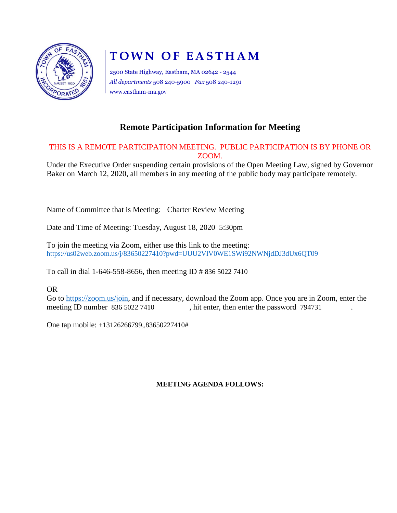

# **TOWN OF EASTHAM**

2500 State Highway, Eastham, MA 02642 - 2544 *All departments* 508 240-5900 *Fax* 508 240-1291 www.eastham-ma.gov

## **Remote Participation Information for Meeting**

#### THIS IS A REMOTE PARTICIPATION MEETING. PUBLIC PARTICIPATION IS BY PHONE OR ZOOM.

Under the Executive Order suspending certain provisions of the Open Meeting Law, signed by Governor Baker on March 12, 2020, all members in any meeting of the public body may participate remotely.

Name of Committee that is Meeting: Charter Review Meeting

Date and Time of Meeting: Tuesday, August 18, 2020 5:30pm

To join the meeting via Zoom, either use this link to the meeting: <https://us02web.zoom.us/j/83650227410?pwd=UUU2VlV0WE1SWi92NWNjdDJ3dUx6QT09>

To call in dial 1-646-558-8656, then meeting ID # 836 5022 7410

OR

Go to [https://zoom.us/join,](https://zoom.us/join) and if necessary, download the Zoom app. Once you are in Zoom, enter the meeting ID number 836 5022 7410, hit enter, then enter the password 794731

One tap mobile: +13126266799,,83650227410#

#### **MEETING AGENDA FOLLOWS:**